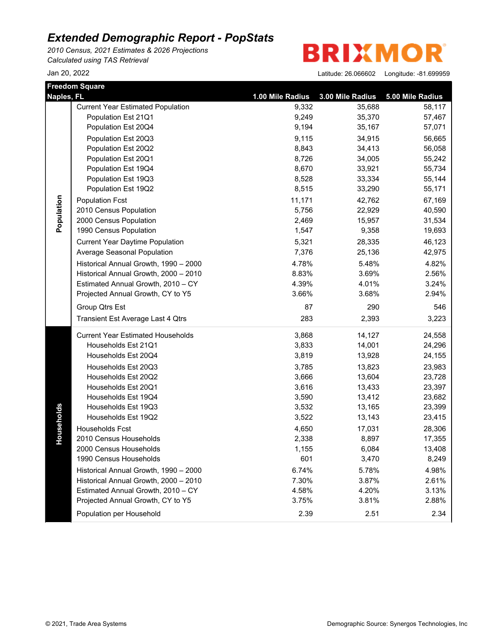*2010 Census, 2021 Estimates & 2026 Projections Calculated using TAS Retrieval*

**BRIXMOR** 

|            | <b>Freedom Square</b>                    |                  |                  |                  |
|------------|------------------------------------------|------------------|------------------|------------------|
| Naples, FL |                                          | 1.00 Mile Radius | 3.00 Mile Radius | 5.00 Mile Radius |
|            | <b>Current Year Estimated Population</b> | 9,332            | 35,688           | 58,117           |
|            | Population Est 21Q1                      | 9,249            | 35,370           | 57,467           |
|            | Population Est 20Q4                      | 9,194            | 35,167           | 57,071           |
|            | Population Est 20Q3                      | 9,115            | 34,915           | 56,665           |
|            | Population Est 20Q2                      | 8,843            | 34,413           | 56,058           |
|            | Population Est 20Q1                      | 8,726            | 34,005           | 55,242           |
|            | Population Est 19Q4                      | 8,670            | 33,921           | 55,734           |
|            | Population Est 19Q3                      | 8,528            | 33,334           | 55,144           |
|            | Population Est 19Q2                      | 8,515            | 33,290           | 55,171           |
| Population | <b>Population Fcst</b>                   | 11,171           | 42,762           | 67,169           |
|            | 2010 Census Population                   | 5,756            | 22,929           | 40,590           |
|            | 2000 Census Population                   | 2,469            | 15,957           | 31,534           |
|            | 1990 Census Population                   | 1,547            | 9,358            | 19,693           |
|            | <b>Current Year Daytime Population</b>   | 5,321            | 28,335           | 46,123           |
|            | Average Seasonal Population              | 7,376            | 25,136           | 42,975           |
|            | Historical Annual Growth, 1990 - 2000    | 4.78%            | 5.48%            | 4.82%            |
|            | Historical Annual Growth, 2000 - 2010    | 8.83%            | 3.69%            | 2.56%            |
|            | Estimated Annual Growth, 2010 - CY       | 4.39%            | 4.01%            | 3.24%            |
|            | Projected Annual Growth, CY to Y5        | 3.66%            | 3.68%            | 2.94%            |
|            | Group Qtrs Est                           | 87               | 290              | 546              |
|            | Transient Est Average Last 4 Qtrs        | 283              | 2,393            | 3,223            |
|            | <b>Current Year Estimated Households</b> | 3,868            | 14,127           | 24,558           |
|            | Households Est 21Q1                      | 3,833            | 14,001           | 24,296           |
|            | Households Est 20Q4                      | 3,819            | 13,928           | 24,155           |
|            | Households Est 20Q3                      | 3,785            | 13,823           | 23,983           |
|            | Households Est 20Q2                      | 3,666            | 13,604           | 23,728           |
|            | Households Est 20Q1                      | 3,616            | 13,433           | 23,397           |
|            | Households Est 19Q4                      | 3,590            | 13,412           | 23,682           |
|            | Households Est 19Q3                      | 3,532            | 13,165           | 23,399           |
| Households | Households Est 19Q2                      | 3,522            | 13,143           | 23,415           |
|            | Households Fcst                          | 4,650            | 17,031           | 28,306           |
|            | 2010 Census Households                   | 2,338            | 8,897            | 17,355           |
|            | 2000 Census Households                   | 1,155            | 6,084            | 13,408           |
|            | 1990 Census Households                   | 601              | 3,470            | 8,249            |
|            | Historical Annual Growth, 1990 - 2000    | 6.74%            | 5.78%            | 4.98%            |
|            | Historical Annual Growth, 2000 - 2010    | 7.30%            | 3.87%            | 2.61%            |
|            | Estimated Annual Growth, 2010 - CY       | 4.58%            | 4.20%            | 3.13%            |
|            | Projected Annual Growth, CY to Y5        | 3.75%            | 3.81%            | 2.88%            |
|            | Population per Household                 | 2.39             | 2.51             | 2.34             |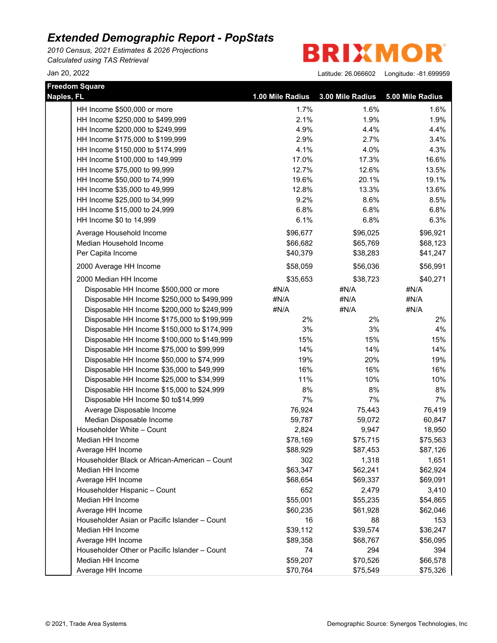*2010 Census, 2021 Estimates & 2026 Projections Calculated using TAS Retrieval*

**BRIXMOR** 

|            | <b>Freedom Square</b>                         |                  |                  |                  |
|------------|-----------------------------------------------|------------------|------------------|------------------|
| Naples, FL |                                               | 1.00 Mile Radius | 3.00 Mile Radius | 5.00 Mile Radius |
|            | HH Income \$500,000 or more                   | 1.7%             | 1.6%             | 1.6%             |
|            | HH Income \$250,000 to \$499,999              | 2.1%             | 1.9%             | 1.9%             |
|            | HH Income \$200,000 to \$249,999              | 4.9%             | 4.4%             | 4.4%             |
|            | HH Income \$175,000 to \$199,999              | 2.9%             | 2.7%             | 3.4%             |
|            | HH Income \$150,000 to \$174,999              | 4.1%             | 4.0%             | 4.3%             |
|            | HH Income \$100,000 to 149,999                | 17.0%            | 17.3%            | 16.6%            |
|            | HH Income \$75,000 to 99,999                  | 12.7%            | 12.6%            | 13.5%            |
|            | HH Income \$50,000 to 74,999                  | 19.6%            | 20.1%            | 19.1%            |
|            | HH Income \$35,000 to 49,999                  | 12.8%            | 13.3%            | 13.6%            |
|            | HH Income \$25,000 to 34,999                  | 9.2%             | 8.6%             | 8.5%             |
|            | HH Income \$15,000 to 24,999                  | 6.8%             | 6.8%             | 6.8%             |
|            | HH Income \$0 to 14,999                       | 6.1%             | 6.8%             | 6.3%             |
|            | Average Household Income                      | \$96,677         | \$96,025         | \$96,921         |
|            | Median Household Income                       | \$66,682         | \$65,769         | \$68,123         |
|            | Per Capita Income                             | \$40,379         | \$38,283         | \$41,247         |
|            | 2000 Average HH Income                        | \$58,059         | \$56,036         | \$56,991         |
|            | 2000 Median HH Income                         | \$35,653         | \$38,723         | \$40,271         |
|            | Disposable HH Income \$500,000 or more        | #N/A             | #N/A             | #N/A             |
|            | Disposable HH Income \$250,000 to \$499,999   | #N/A             | #N/A             | #N/A             |
|            | Disposable HH Income \$200,000 to \$249,999   | #N/A             | #N/A             | #N/A             |
|            | Disposable HH Income \$175,000 to \$199,999   | 2%               | 2%               | 2%               |
|            | Disposable HH Income \$150,000 to \$174,999   | 3%               | 3%               | 4%               |
|            | Disposable HH Income \$100,000 to \$149,999   | 15%              | 15%              | 15%              |
|            | Disposable HH Income \$75,000 to \$99,999     | 14%              | 14%              | 14%              |
|            | Disposable HH Income \$50,000 to \$74,999     | 19%              | 20%              | 19%              |
|            | Disposable HH Income \$35,000 to \$49,999     | 16%              | 16%              | 16%              |
|            | Disposable HH Income \$25,000 to \$34,999     | 11%              | 10%              | 10%              |
|            | Disposable HH Income \$15,000 to \$24,999     | 8%               | 8%               | 8%               |
|            | Disposable HH Income \$0 to\$14,999           | 7%               | 7%               | 7%               |
|            | Average Disposable Income                     | 76,924           | 75,443           | 76,419           |
|            | Median Disposable Income                      | 59,787           | 59,072           | 60,847           |
|            | Householder White - Count                     | 2,824            | 9,947            | 18,950           |
|            | Median HH Income                              | \$78,169         | \$75,715         | \$75,563         |
|            | Average HH Income                             | \$88,929         | \$87,453         | \$87,126         |
|            | Householder Black or African-American - Count | 302              | 1,318            | 1,651            |
|            | Median HH Income                              | \$63,347         | \$62,241         | \$62,924         |
|            | Average HH Income                             | \$68,654         | \$69,337         | \$69,091         |
|            | Householder Hispanic - Count                  | 652              | 2,479            | 3,410            |
|            | Median HH Income                              | \$55,001         | \$55,235         | \$54,865         |
|            | Average HH Income                             | \$60,235         | \$61,928         | \$62,046         |
|            | Householder Asian or Pacific Islander - Count | 16               | 88               | 153              |
|            | Median HH Income                              | \$39,112         | \$39,574         | \$36,247         |
|            | Average HH Income                             | \$89,358         | \$68,767         | \$56,095         |
|            | Householder Other or Pacific Islander - Count | 74               | 294              | 394              |
|            | Median HH Income                              | \$59,207         | \$70,526         | \$66,578         |
|            | Average HH Income                             | \$70,764         | \$75,549         | \$75,326         |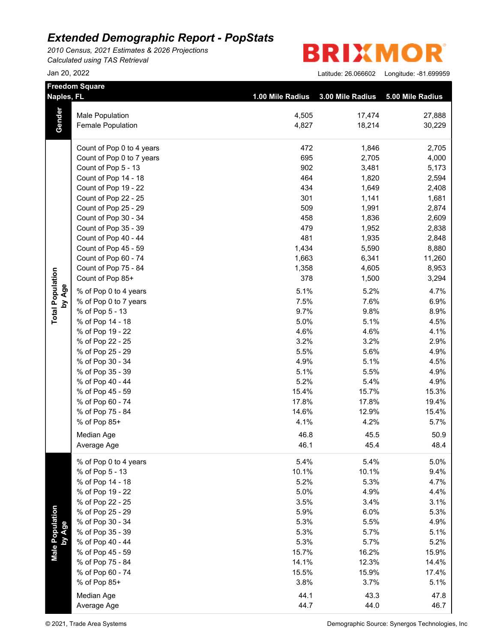*2010 Census, 2021 Estimates & 2026 Projections Calculated using TAS Retrieval*

| Naples, FL                | <b>Freedom Square</b>     | 1.00 Mile Radius | 3.00 Mile Radius | 5.00 Mile Radius |
|---------------------------|---------------------------|------------------|------------------|------------------|
|                           |                           |                  |                  |                  |
|                           | Male Population           | 4,505            | 17,474           | 27,888           |
| Gender                    | Female Population         | 4,827            | 18,214           | 30,229           |
|                           | Count of Pop 0 to 4 years | 472              | 1,846            | 2,705            |
|                           | Count of Pop 0 to 7 years | 695              | 2,705            | 4,000            |
|                           | Count of Pop 5 - 13       | 902              | 3,481            | 5,173            |
|                           | Count of Pop 14 - 18      | 464              | 1,820            | 2,594            |
|                           | Count of Pop 19 - 22      | 434              | 1,649            | 2,408            |
|                           | Count of Pop 22 - 25      | 301              | 1,141            | 1,681            |
|                           | Count of Pop 25 - 29      | 509              | 1,991            | 2,874            |
|                           | Count of Pop 30 - 34      | 458              | 1,836            | 2,609            |
|                           | Count of Pop 35 - 39      | 479              | 1,952            | 2,838            |
|                           | Count of Pop 40 - 44      | 481              | 1,935            | 2,848            |
|                           | Count of Pop 45 - 59      | 1,434            | 5,590            | 8,880            |
|                           | Count of Pop 60 - 74      | 1,663            | 6,341            | 11,260           |
|                           | Count of Pop 75 - 84      | 1,358            | 4,605            | 8,953            |
|                           | Count of Pop 85+          | 378              | 1,500            | 3,294            |
| by Age                    | % of Pop 0 to 4 years     | 5.1%             | 5.2%             | 4.7%             |
|                           | % of Pop 0 to 7 years     | 7.5%             | 7.6%             | 6.9%             |
| <b>Total Population</b>   | % of Pop 5 - 13           | 9.7%             | 9.8%             | 8.9%             |
|                           | % of Pop 14 - 18          | 5.0%             | 5.1%             | 4.5%             |
|                           | % of Pop 19 - 22          | 4.6%             | 4.6%             | 4.1%             |
|                           | % of Pop 22 - 25          | 3.2%             | 3.2%             | 2.9%             |
|                           | % of Pop 25 - 29          | 5.5%             | 5.6%             | 4.9%             |
|                           | % of Pop 30 - 34          | 4.9%             | 5.1%             | 4.5%             |
|                           | % of Pop 35 - 39          | 5.1%             | 5.5%             | 4.9%             |
|                           | % of Pop 40 - 44          | 5.2%             | 5.4%             | 4.9%             |
|                           | % of Pop 45 - 59          | 15.4%            | 15.7%            | 15.3%            |
|                           | % of Pop 60 - 74          | 17.8%            | 17.8%            | 19.4%            |
|                           | % of Pop 75 - 84          | 14.6%            | 12.9%            | 15.4%            |
|                           | % of Pop 85+              | 4.1%             | 4.2%             | 5.7%             |
|                           | Median Age                | 46.8             | 45.5             | 50.9             |
|                           | Average Age               | 46.1             | 45.4             | 48.4             |
|                           | % of Pop 0 to 4 years     | 5.4%             | 5.4%             | 5.0%             |
|                           | % of Pop 5 - 13           | 10.1%            | 10.1%            | 9.4%             |
|                           | % of Pop 14 - 18          | 5.2%             | 5.3%             | 4.7%             |
|                           | % of Pop 19 - 22          | 5.0%             | 4.9%             | 4.4%             |
|                           | % of Pop 22 - 25          | 3.5%             | 3.4%             | 3.1%             |
|                           | % of Pop 25 - 29          | 5.9%             | 6.0%             | 5.3%             |
|                           | % of Pop 30 - 34          | 5.3%             | 5.5%             | 4.9%             |
|                           | % of Pop 35 - 39          | 5.3%             | 5.7%             | 5.1%             |
|                           | % of Pop 40 - 44          | 5.3%             | 5.7%             | 5.2%             |
| Male Population<br>by Age | % of Pop 45 - 59          | 15.7%            | 16.2%            | 15.9%            |
|                           | % of Pop 75 - 84          | 14.1%            | 12.3%            | 14.4%            |
|                           | % of Pop 60 - 74          | 15.5%            | 15.9%            | 17.4%            |
|                           | % of Pop 85+              | 3.8%             | 3.7%             | 5.1%             |
|                           | Median Age                | 44.1             | 43.3             | 47.8             |
|                           | Average Age               | 44.7             | 44.0             | 46.7             |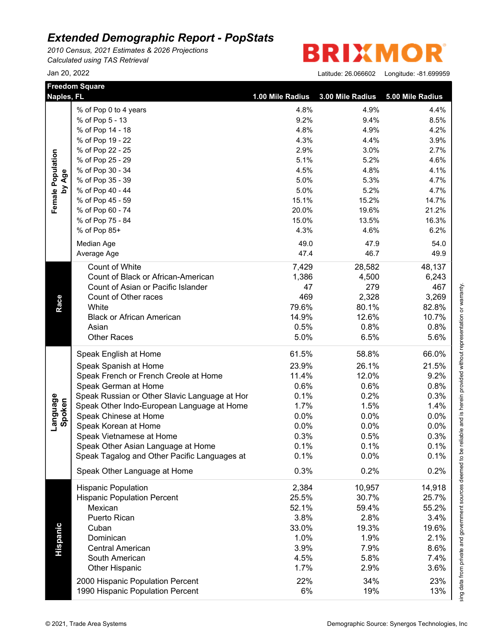*2010 Census, 2021 Estimates & 2026 Projections Calculated using TAS Retrieval*

| <b>BRIXMOR®</b> |  |
|-----------------|--|
|-----------------|--|

| Naples, FL         | <b>Freedom Square</b>                         | 1.00 Mile Radius | 3.00 Mile Radius | 5.00 Mile Radius |
|--------------------|-----------------------------------------------|------------------|------------------|------------------|
|                    | % of Pop 0 to 4 years                         | 4.8%             | 4.9%             | 4.4%             |
|                    | % of Pop 5 - 13                               | 9.2%             | 9.4%             | 8.5%             |
|                    | % of Pop 14 - 18                              | 4.8%             | 4.9%             | 4.2%             |
|                    | % of Pop 19 - 22                              | 4.3%             | 4.4%             | 3.9%             |
|                    | % of Pop 22 - 25                              | 2.9%             | 3.0%             | 2.7%             |
|                    | % of Pop 25 - 29                              | 5.1%             | 5.2%             | 4.6%             |
|                    | % of Pop 30 - 34                              | 4.5%             | 4.8%             | 4.1%             |
| by Age             | % of Pop 35 - 39                              | 5.0%             | 5.3%             | 4.7%             |
|                    | % of Pop 40 - 44                              | 5.0%             | 5.2%             | 4.7%             |
| Female Population  | % of Pop 45 - 59                              | 15.1%            | 15.2%            | 14.7%            |
|                    | % of Pop 60 - 74                              | 20.0%            | 19.6%            | 21.2%            |
|                    | % of Pop 75 - 84                              | 15.0%            | 13.5%            | 16.3%            |
|                    | % of Pop 85+                                  | 4.3%             | 4.6%             | 6.2%             |
|                    |                                               |                  |                  |                  |
|                    | Median Age                                    | 49.0             | 47.9             | 54.0             |
|                    | Average Age                                   | 47.4             | 46.7             | 49.9             |
|                    | Count of White                                | 7,429            | 28,582           | 48,137           |
|                    | Count of Black or African-American            | 1,386            | 4,500            | 6,243            |
|                    | Count of Asian or Pacific Islander            | 47               | 279              | 467              |
|                    | Count of Other races                          | 469              | 2,328            | 3,269            |
| Race               | White                                         | 79.6%            | 80.1%            | 82.8%            |
|                    | <b>Black or African American</b>              | 14.9%            | 12.6%            | 10.7%            |
|                    | Asian                                         | 0.5%             | 0.8%             | 0.8%             |
|                    | <b>Other Races</b>                            | 5.0%             | 6.5%             | 5.6%             |
|                    | Speak English at Home                         | 61.5%            | 58.8%            | 66.0%            |
|                    | Speak Spanish at Home                         | 23.9%            | 26.1%            | 21.5%            |
|                    | Speak French or French Creole at Home         | 11.4%            | 12.0%            | 9.2%             |
|                    | Speak German at Home                          | 0.6%             | 0.6%             | 0.8%             |
|                    | Speak Russian or Other Slavic Language at Hor | 0.1%             | 0.2%             | 0.3%             |
| Language<br>Spoken | Speak Other Indo-European Language at Home    | 1.7%             | 1.5%             | 1.4%             |
|                    | Speak Chinese at Home                         | 0.0%             | 0.0%             | 0.0%             |
|                    | Speak Korean at Home                          | 0.0%             | 0.0%             | 0.0%             |
|                    | Speak Vietnamese at Home                      | 0.3%             | 0.5%             | 0.3%             |
|                    | Speak Other Asian Language at Home            | 0.1%             | $0.1\%$          | 0.1%             |
|                    | Speak Tagalog and Other Pacific Languages at  | 0.1%             | 0.0%             | 0.1%             |
|                    | Speak Other Language at Home                  | 0.3%             | 0.2%             | 0.2%             |
|                    | <b>Hispanic Population</b>                    | 2,384            | 10,957           | 14,918           |
|                    | <b>Hispanic Population Percent</b>            | 25.5%            | 30.7%            | 25.7%            |
|                    | Mexican                                       | 52.1%            | 59.4%            | 55.2%            |
|                    | Puerto Rican                                  | 3.8%             | 2.8%             | 3.4%             |
|                    | Cuban                                         | 33.0%            | 19.3%            | 19.6%            |
|                    | Dominican                                     | 1.0%             | 1.9%             | 2.1%             |
|                    | <b>Central American</b>                       | 3.9%             | 7.9%             |                  |
| Hispanic           |                                               |                  |                  | 8.6%             |
|                    | South American                                | 4.5%             | 5.8%             | 7.4%             |
|                    | <b>Other Hispanic</b>                         | 1.7%             | 2.9%             | 3.6%             |
|                    | 2000 Hispanic Population Percent              | 22%              | 34%              | 23%              |
|                    | 1990 Hispanic Population Percent              | 6%               | 19%              | 13%              |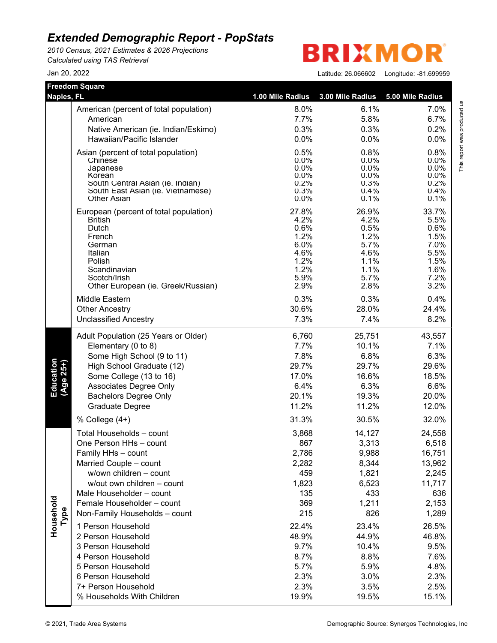*2010 Census, 2021 Estimates & 2026 Projections Calculated using TAS Retrieval*

**BRIXMO** R

|                        | <b>Freedom Square</b>                              |                  |                  |                  |
|------------------------|----------------------------------------------------|------------------|------------------|------------------|
| Naples, FL             |                                                    | 1.00 Mile Radius | 3.00 Mile Radius | 5.00 Mile Radius |
|                        | American (percent of total population)             | 8.0%             | 6.1%             | 7.0%             |
|                        | American                                           | 7.7%             | 5.8%             | 6.7%             |
|                        | Native American (ie. Indian/Eskimo)                | 0.3%             | 0.3%             | 0.2%             |
|                        | Hawaiian/Pacific Islander                          | 0.0%             | 0.0%             | 0.0%             |
|                        | Asian (percent of total population)                | 0.5%             | 0.8%             | 0.8%             |
|                        | Chinese                                            | $0.0\%$          | $0.0\%$          | 0.0%             |
|                        | Japanese                                           | $0.0\%$          | $0.0\%$          | $0.0\%$          |
|                        | Korean<br>South Central Asian (ie. Indian)         | $0.0\%$<br>0.2%  | $0.0\%$<br>0.3%  | $0.0\%$<br>0.2%  |
|                        | South East Asian (ie. Vietnamese)                  | 0.3%             | 0.4%             | 0.4%             |
|                        | <b>Other Asian</b>                                 | $0.0\%$          | 0.1%             | 0.1%             |
|                        | European (percent of total population)             | 27.8%            | 26.9%            | 33.7%            |
|                        | <b>British</b>                                     | 4.2%             | 4.2%             | 5.5%             |
|                        | Dutch<br>French                                    | 0.6%<br>1.2%     | 0.5%<br>1.2%     | 0.6%<br>1.5%     |
|                        | German                                             | 6.0%             | 5.7%             | 7.0%             |
|                        | Italian                                            | 4.6%             | 4.6%             | 5.5%             |
|                        | Polish                                             | 1.2%             | 1.1%             | 1.5%             |
|                        | Scandinavian                                       | 1.2%             | 1.1%             | 1.6%             |
|                        | Scotch/Irish<br>Other European (ie. Greek/Russian) | 5.9%<br>2.9%     | 5.7%<br>2.8%     | 7.2%<br>3.2%     |
|                        |                                                    |                  |                  |                  |
|                        | Middle Eastern                                     | 0.3%             | 0.3%             | 0.4%             |
|                        | <b>Other Ancestry</b>                              | 30.6%            | 28.0%            | 24.4%            |
|                        | <b>Unclassified Ancestry</b>                       | 7.3%             | 7.4%             | 8.2%             |
|                        | Adult Population (25 Years or Older)               | 6,760            | 25,751           | 43,557           |
|                        | Elementary (0 to 8)                                | 7.7%             | 10.1%            | 7.1%             |
|                        | Some High School (9 to 11)                         | 7.8%             | 6.8%             | 6.3%             |
|                        | High School Graduate (12)                          | 29.7%            | 29.7%            | 29.6%            |
| Education<br>(Age 25+) | Some College (13 to 16)                            | 17.0%            | 16.6%            | 18.5%            |
|                        | Associates Degree Only                             | 6.4%             | 6.3%             | 6.6%             |
|                        | <b>Bachelors Degree Only</b>                       | 20.1%            | 19.3%            | 20.0%            |
|                        | <b>Graduate Degree</b>                             | 11.2%            | 11.2%            | 12.0%            |
|                        | % College (4+)                                     | 31.3%            | 30.5%            | 32.0%            |
|                        | Total Households - count                           | 3,868            | 14,127           | 24,558           |
|                        | One Person HHs - count                             | 867              | 3,313            | 6,518            |
|                        | Family HHs - count                                 | 2,786            | 9,988            | 16,751           |
|                        | Married Couple - count                             | 2,282            | 8,344            | 13,962           |
|                        | w/own children - count                             | 459              | 1,821            | 2,245            |
|                        | w/out own children - count                         | 1,823            | 6,523            | 11,717           |
|                        | Male Householder - count                           | 135              | 433              | 636              |
|                        | Female Householder - count                         | 369              | 1,211            | 2,153            |
| Type                   | Non-Family Households - count                      | 215              | 826              | 1,289            |
| Household              | 1 Person Household                                 | 22.4%            | 23.4%            | 26.5%            |
|                        | 2 Person Household                                 | 48.9%            | 44.9%            | 46.8%            |
|                        | 3 Person Household                                 | 9.7%             | 10.4%            | 9.5%             |
|                        | 4 Person Household                                 | 8.7%             | 8.8%             | 7.6%             |
|                        | 5 Person Household                                 | 5.7%             | 5.9%             | 4.8%             |
|                        | 6 Person Household                                 | 2.3%             | 3.0%             | 2.3%             |
|                        | 7+ Person Household                                | 2.3%             | 3.5%             | 2.5%             |
|                        | % Households With Children                         | 19.9%            | 19.5%            | 15.1%            |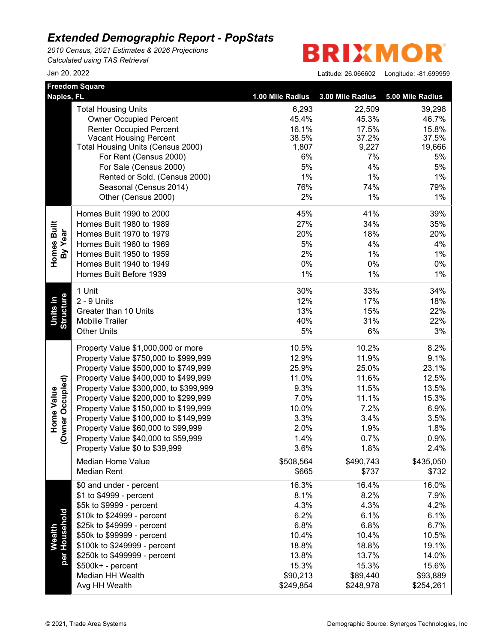*2010 Census, 2021 Estimates & 2026 Projections Calculated using TAS Retrieval*

**BRIXMO** R

|                                       | <b>Freedom Square</b>                                              |                  |                  |                  |
|---------------------------------------|--------------------------------------------------------------------|------------------|------------------|------------------|
| <b>Naples, FL</b>                     |                                                                    | 1.00 Mile Radius | 3.00 Mile Radius | 5.00 Mile Radius |
|                                       | <b>Total Housing Units</b>                                         | 6,293            | 22,509           | 39,298           |
|                                       | <b>Owner Occupied Percent</b>                                      | 45.4%            | 45.3%            | 46.7%            |
|                                       | <b>Renter Occupied Percent</b>                                     | 16.1%            | 17.5%            | 15.8%            |
|                                       | <b>Vacant Housing Percent</b><br>Total Housing Units (Census 2000) | 38.5%<br>1,807   | 37.2%<br>9,227   | 37.5%<br>19,666  |
|                                       | For Rent (Census 2000)                                             | 6%               | 7%               | 5%               |
|                                       | For Sale (Census 2000)                                             | 5%               | 4%               | 5%               |
|                                       | Rented or Sold, (Census 2000)                                      | 1%               | 1%               | 1%               |
|                                       | Seasonal (Census 2014)                                             | 76%              | 74%              | 79%              |
|                                       | Other (Census 2000)                                                | 2%               | 1%               | 1%               |
|                                       |                                                                    |                  |                  |                  |
|                                       | Homes Built 1990 to 2000                                           | 45%              | 41%              | 39%              |
|                                       | Homes Built 1980 to 1989                                           | 27%              | 34%              | 35%              |
|                                       | Homes Built 1970 to 1979                                           | 20%              | 18%              | 20%              |
| Homes Built<br>By Year                | Homes Built 1960 to 1969                                           | 5%               | 4%               | 4%               |
|                                       | Homes Built 1950 to 1959                                           | 2%               | 1%               | 1%               |
|                                       | Homes Built 1940 to 1949                                           | $0\%$            | 0%               | 0%               |
|                                       | Homes Built Before 1939                                            | 1%               | 1%               | 1%               |
|                                       | 1 Unit                                                             | 30%              | 33%              | 34%              |
| Structure<br>Units in                 | 2 - 9 Units                                                        | 12%              | 17%              | 18%              |
|                                       | Greater than 10 Units                                              | 13%              | 15%              | 22%              |
|                                       | <b>Mobilie Trailer</b>                                             | 40%              | 31%              | 22%              |
|                                       | <b>Other Units</b>                                                 | 5%               | 6%               | 3%               |
|                                       | Property Value \$1,000,000 or more                                 | 10.5%            | 10.2%            | 8.2%             |
|                                       | Property Value \$750,000 to \$999,999                              | 12.9%            | 11.9%            | 9.1%             |
|                                       | Property Value \$500,000 to \$749,999                              | 25.9%            | 25.0%            | 23.1%            |
|                                       | Property Value \$400,000 to \$499,999                              | 11.0%            | 11.6%            | 12.5%            |
|                                       | Property Value \$300,000, to \$399,999                             | 9.3%             | 11.5%            | 13.5%            |
| (Owner Occupied)<br><b>Home Value</b> | Property Value \$200,000 to \$299,999                              | 7.0%             | 11.1%            | 15.3%            |
|                                       | Property Value \$150,000 to \$199,999                              | 10.0%            | 7.2%             | 6.9%             |
|                                       | Property Value \$100,000 to \$149,999                              | 3.3%             | 3.4%             | 3.5%             |
|                                       | Property Value \$60,000 to \$99,999                                | 2.0%             | 1.9%             | 1.8%             |
|                                       | Property Value \$40,000 to \$59,999                                | 1.4%             | 0.7%             | 0.9%             |
|                                       | Property Value \$0 to \$39,999                                     | 3.6%             | 1.8%             | 2.4%             |
|                                       | <b>Median Home Value</b>                                           | \$508,564        | \$490,743        | \$435,050        |
|                                       | <b>Median Rent</b>                                                 | \$665            | \$737            | \$732            |
|                                       | \$0 and under - percent                                            | 16.3%            | 16.4%            | 16.0%            |
|                                       | \$1 to \$4999 - percent                                            | 8.1%             | 8.2%             | 7.9%             |
|                                       | \$5k to \$9999 - percent                                           | 4.3%             | 4.3%             | 4.2%             |
|                                       | \$10k to \$24999 - percent                                         | 6.2%             | 6.1%             | 6.1%             |
| per Household                         | \$25k to \$49999 - percent                                         | 6.8%             | 6.8%             | 6.7%             |
| Wealth                                | \$50k to \$99999 - percent                                         | 10.4%            | 10.4%            | 10.5%            |
|                                       | \$100k to \$249999 - percent                                       | 18.8%            | 18.8%            | 19.1%            |
|                                       | \$250k to \$499999 - percent                                       | 13.8%            | 13.7%            | 14.0%            |
|                                       | \$500k+ - percent                                                  | 15.3%            | 15.3%            | 15.6%            |
|                                       | Median HH Wealth                                                   | \$90,213         | \$89,440         | \$93,889         |
|                                       | Avg HH Wealth                                                      | \$249,854        | \$248,978        | \$254,261        |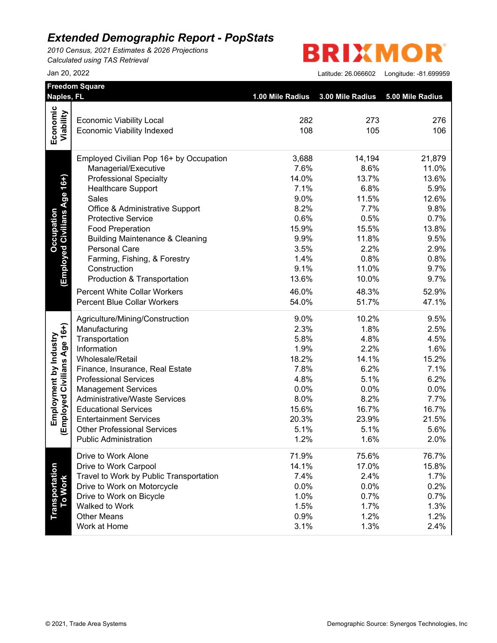*2010 Census, 2021 Estimates & 2026 Projections Calculated using TAS Retrieval*

**BRIXMOR** 

| Naples, FL                   |                                                                    |                  |                  |                  |
|------------------------------|--------------------------------------------------------------------|------------------|------------------|------------------|
|                              |                                                                    | 1.00 Mile Radius | 3.00 Mile Radius | 5.00 Mile Radius |
| Economic                     |                                                                    |                  |                  |                  |
|                              | <b>Economic Viability Local</b>                                    | 282<br>108       | 273<br>105       | 276<br>106       |
| Viability                    | <b>Economic Viability Indexed</b>                                  |                  |                  |                  |
|                              | Employed Civilian Pop 16+ by Occupation                            | 3,688            | 14,194           | 21,879           |
|                              | Managerial/Executive                                               | 7.6%             | 8.6%             | 11.0%            |
| (Employed Civilians Age 16+) | <b>Professional Specialty</b>                                      | 14.0%            | 13.7%            | 13.6%            |
|                              | <b>Healthcare Support</b>                                          | 7.1%             | 6.8%             | 5.9%             |
|                              | Sales                                                              | 9.0%             | 11.5%            | 12.6%            |
|                              | Office & Administrative Support                                    | 8.2%             | 7.7%             | 9.8%             |
|                              | <b>Protective Service</b>                                          | 0.6%             | 0.5%             | 0.7%             |
|                              | <b>Food Preperation</b>                                            | 15.9%            | 15.5%            | 13.8%            |
|                              | <b>Building Maintenance &amp; Cleaning</b>                         | 9.9%             | 11.8%            | 9.5%             |
|                              | <b>Personal Care</b>                                               | 3.5%             | 2.2%             | 2.9%             |
|                              | Farming, Fishing, & Forestry                                       | 1.4%             | 0.8%             | 0.8%             |
|                              | Construction                                                       | 9.1%             | 11.0%            | 9.7%             |
|                              | Production & Transportation                                        | 13.6%            | 10.0%            | 9.7%             |
|                              | <b>Percent White Collar Workers</b>                                | 46.0%            | 48.3%            | 52.9%            |
|                              | <b>Percent Blue Collar Workers</b>                                 | 54.0%            | 51.7%            | 47.1%            |
|                              | Agriculture/Mining/Construction                                    | 9.0%             | 10.2%            | 9.5%             |
|                              | Manufacturing                                                      | 2.3%             | 1.8%             | 2.5%             |
|                              | Transportation                                                     | 5.8%             | 4.8%             | 4.5%             |
|                              | Information                                                        | 1.9%             | 2.2%             | 1.6%             |
|                              | Wholesale/Retail                                                   | 18.2%            | 14.1%            | 15.2%            |
|                              | Finance, Insurance, Real Estate                                    | 7.8%             | 6.2%             | 7.1%             |
|                              | <b>Professional Services</b>                                       | 4.8%             | 5.1%             | 6.2%             |
|                              | <b>Management Services</b>                                         | 0.0%             | 0.0%             | 0.0%             |
|                              | <b>Administrative/Waste Services</b>                               | 8.0%             | 8.2%             | 7.7%             |
| (Employed Civilians Age 16+) | <b>Educational Services</b>                                        | 15.6%            | 16.7%            | 16.7%            |
|                              | <b>Entertainment Services</b>                                      | 20.3%            | 23.9%            | 21.5%            |
|                              | <b>Other Professional Services</b><br><b>Public Administration</b> | 5.1%<br>1.2%     | 5.1%<br>1.6%     | 5.6%<br>2.0%     |
|                              | Drive to Work Alone                                                | 71.9%            | 75.6%            | 76.7%            |
|                              | Drive to Work Carpool                                              | 14.1%            | 17.0%            | 15.8%            |
|                              | Travel to Work by Public Transportation                            | 7.4%             | 2.4%             | 1.7%             |
| To Work                      | Drive to Work on Motorcycle                                        | 0.0%             | 0.0%             | 0.2%             |
|                              | Drive to Work on Bicycle                                           | 1.0%             | 0.7%             | 0.7%             |
|                              | Walked to Work                                                     | 1.5%             | 1.7%             | 1.3%             |
|                              | <b>Other Means</b>                                                 | 0.9%             | 1.2%             | 1.2%             |
|                              | Work at Home                                                       | 3.1%             | 1.3%             | 2.4%             |